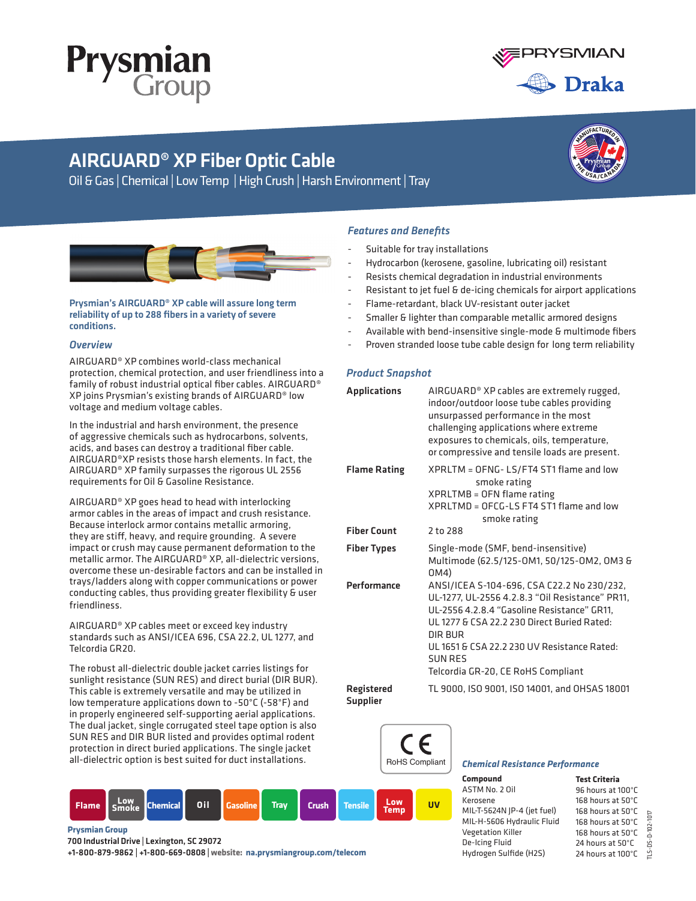



**<sup>T</sup>H<sup>E</sup> <sup>U</sup>SA/CANAD<sup>A</sup>**

**<sup>M</sup>ANUFACTURE<sup>D</sup> <sup>I</sup><sup>N</sup>**

# AIRGUARD® XP Fiber Optic Cable

Oil & Gas | Chemical | Low Temp | High Crush | Harsh Environment | Tray



Prysmian's AIRGUARD® XP cable will assure long term reliability of up to 288 fibers in a variety of severe conditions.

## *Overview*

AIRGUARD® XP combines world-class mechanical protection, chemical protection, and user friendliness into a family of robust industrial optical fiber cables. AIRGUARD® XP joins Prysmian's existing brands of AIRGUARD® low voltage and medium voltage cables.

In the industrial and harsh environment, the presence of aggressive chemicals such as hydrocarbons, solvents, acids, and bases can destroy a traditional fiber cable. AIRGUARD®XP resists those harsh elements. In fact, the AIRGUARD® XP family surpasses the rigorous UL 2556 requirements for Oil & Gasoline Resistance.

AIRGUARD® XP goes head to head with interlocking armor cables in the areas of impact and crush resistance. Because interlock armor contains metallic armoring, they are stiff, heavy, and require grounding. A severe impact or crush may cause permanent deformation to the metallic armor. The AIRGUARD® XP, all-dielectric versions, overcome these un-desirable factors and can be installed in trays/ladders along with copper communications or power conducting cables, thus providing greater flexibility & user friendliness.

AIRGUARD® XP cables meet or exceed key industry standards such as ANSI/ICEA 696, CSA 22.2, UL 1277, and Telcordia GR20.

The robust all-dielectric double jacket carries listings for sunlight resistance (SUN RES) and direct burial (DIR BUR). This cable is extremely versatile and may be utilized in low temperature applications down to -50°C (-58°F) and in properly engineered self-supporting aerial applications. The dual jacket, single corrugated steel tape option is also SUN RES and DIR BUR listed and provides optimal rodent protection in direct buried applications. The single jacket all-dielectric option is best suited for duct installations.

# **Flame Low Smoke Chemical Oil Gasoline Tray Crush Tensile UV Low Temp**

## **Prysmian Group**

700 Industrial Drive | Lexington, SC 29072

+1-800-879-9862 | +1-800-669-0808 | **website: na.prysmiangroup.com/telecom**

# *Features and Benefits*

- Suitable for tray installations
- Hydrocarbon (kerosene, gasoline, lubricating oil) resistant
- Resists chemical degradation in industrial environments
- Resistant to jet fuel & de-icing chemicals for airport applications
- Flame-retardant, black UV-resistant outer jacket
- Smaller & lighter than comparable metallic armored designs
- Available with bend-insensitive single-mode & multimode fibers
- Proven stranded loose tube cable design for long term reliability

## *Product Snapshot*

| <b>Applications</b>                  | AIRGUARD® XP cables are extremely rugged,<br>indoor/outdoor loose tube cables providing<br>unsurpassed performance in the most<br>challenging applications where extreme<br>exposures to chemicals, oils, temperature,<br>or compressive and tensile loads are present.                                       |
|--------------------------------------|---------------------------------------------------------------------------------------------------------------------------------------------------------------------------------------------------------------------------------------------------------------------------------------------------------------|
| <b>Flame Rating</b>                  | XPRLTM = OFNG-LS/FT4 ST1 flame and low<br>smoke rating<br>XPRLTMB = OFN flame rating<br>$XPRI$ TMD = OFCG-LS FT4 ST1 flame and low<br>smoke rating                                                                                                                                                            |
| <b>Fiber Count</b>                   | 2 to 288                                                                                                                                                                                                                                                                                                      |
| <b>Fiber Types</b>                   | Single-mode (SMF, bend-insensitive)<br>Multimode (62.5/125-0M1, 50/125-0M2, 0M3 &<br>0M4)                                                                                                                                                                                                                     |
| Performance                          | ANSI/ICEA S-104-696, CSA C22.2 No 230/232,<br>UL-1277, UL-2556 4.2.8.3 "Oil Resistance" PR11,<br>UL-2556 4.2.8.4 "Gasoline Resistance" GR11,<br>UL 1277 & CSA 22.2.230 Direct Buried Rated:<br>DIR BUR<br>UL 1651 & CSA 22.2.230 UV Resistance Rated:<br><b>SUN RES</b><br>Telcordia GR-20, CE RoHS Compliant |
| <b>Registered</b><br><b>Supplier</b> | TL 9000, ISO 9001, ISO 14001, and OHSAS 18001                                                                                                                                                                                                                                                                 |



## *Chemical Resistance Performance*

**Compound** ASTM No. 2 Oil Kerosene MIL-T-5624N JP-4 (jet fuel) MIL-H-5606 Hydraulic Fluid Vegetation Killer De-Icing Fluid Hydrogen Sulfide (H2S)

| <b>Test Criteria</b> |               |
|----------------------|---------------|
| 96 hours at 100°C    |               |
| 168 hours at 50°C    |               |
| 168 hours at 50°C    |               |
| 168 hours at 50°C    | $-102 - 1017$ |
| 168 hours at 50°C    |               |
| 24 hours at 50°C     |               |
| 24 hours at 100°C    |               |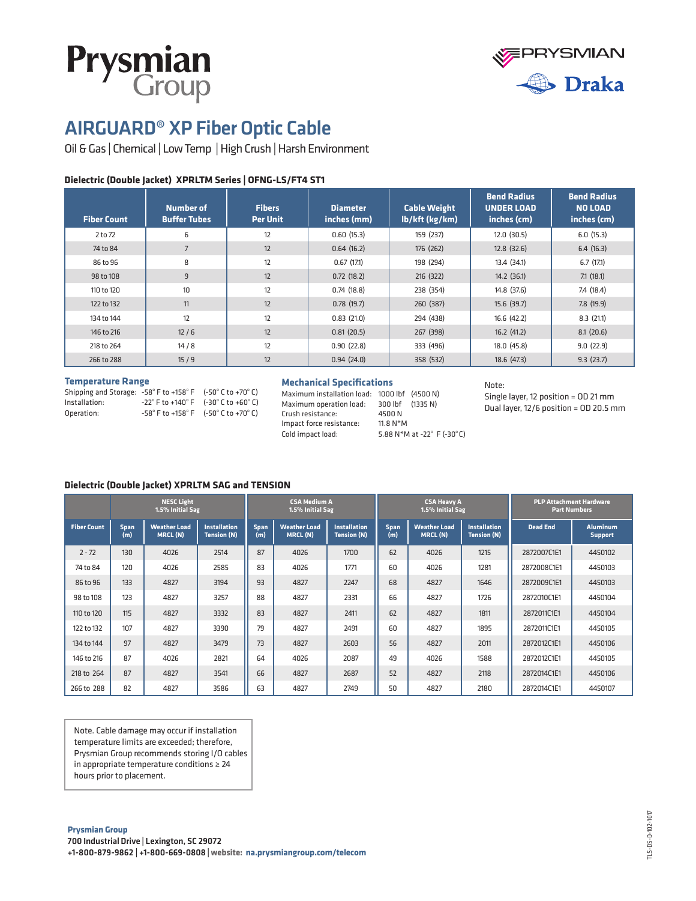



# AIRGUARD® XP Fiber Optic Cable

Oil & Gas | Chemical | Low Temp | High Crush | Harsh Environment

## **Dielectric (Double Jacket) XPRLTM Series | OFNG-LS/FT4 ST1**

| <b>Fiber Count</b> | Number of<br><b>Buffer Tubes</b> | <b>Fibers</b><br><b>Per Unit</b> | <b>Diameter</b><br>inches (mm) | <b>Cable Weight</b><br>lb/kft (kg/km) | <b>Bend Radius</b><br><b>UNDER LOAD</b><br>inches (cm) | <b>Bend Radius</b><br><b>NO LOAD</b><br>inches (cm) |
|--------------------|----------------------------------|----------------------------------|--------------------------------|---------------------------------------|--------------------------------------------------------|-----------------------------------------------------|
| 2 to 72            | 6                                | 12                               | 0.60(15.3)                     | 159 (237)                             | 12.0(30.5)                                             | 6.0(15.3)                                           |
| 74 to 84           | $\overline{7}$                   | 12                               | 0.64(16.2)                     | 176 (262)                             | 12.8(32.6)                                             | 6.4(16.3)                                           |
| 86 to 96           | 8                                | 12                               | 0.67(17.1)                     | 198 (294)                             | 13.4 (34.1)                                            | 6.7(17.1)                                           |
| 98 to 108          | 9                                | 12                               | 0.72(18.2)                     | 216 (322)                             | 14.2(36.1)                                             | 7.1(18.1)                                           |
| 110 to 120         | 10                               | 12                               | 0.74(18.8)                     | 238 (354)                             | 14.8 (37.6)                                            | 7.4 (18.4)                                          |
| 122 to 132         | 11                               | 12                               | 0.78(19.7)                     | 260 (387)                             | 15.6(39.7)                                             | 7.8(19.9)                                           |
| 134 to 144         | 12                               | 12                               | 0.83(21.0)                     | 294 (438)                             | 16.6 (42.2)                                            | 8.3(21.1)                                           |
| 146 to 216         | $12/6$                           | 12                               | 0.81(20.5)                     | 267 (398)                             | 16.2(41.2)                                             | 8.1(20.6)                                           |
| 218 to 264         | 14/8                             | 12                               | 0.90(22.8)                     | 333 (496)                             | 18.0 (45.8)                                            | 9.0(22.9)                                           |
| 266 to 288         | 15/9                             | 12                               | 0.94(24.0)                     | 358 (532)                             | 18.6(47.3)                                             | 9.3(23.7)                                           |

### **Temperature Range**

| Shipping and Storage: $-58^{\circ}$ F to $+158^{\circ}$ F $(-50^{\circ}$ C to $+70^{\circ}$ C) |                                                                           |
|------------------------------------------------------------------------------------------------|---------------------------------------------------------------------------|
| Installation:                                                                                  | $-22^{\circ}$ F to $+140^{\circ}$ F $(-30^{\circ}$ C to $+60^{\circ}$ C)  |
| Operation:                                                                                     | $-58^{\circ}$ F to $+158^{\circ}$ F ( $-50^{\circ}$ C to $+70^{\circ}$ C) |

### **Mechanical Specifications**

Maximum installation load: 1000 lbf (4500 N) Maximum operation load: 300 lbf (1335 N) Crush resistance: 4500 N Impact force resistance: 11.8 N\*M Cold impact load: 5.88 N\*M at -22 $^{\circ}$  F (-30 $^{\circ}$ C)

#### Note:

Single layer, 12 position = OD 21 mm Dual layer, 12/6 position = OD 20.5 mm

### **Dielectric (Double Jacket) XPRLTM SAG and TENSION**

|                    |                    | <b>NESC Light</b><br>1.5% Initial Sag |                                           | <b>CSA Medium A</b><br>1.5% Initial Sag |                                 |                                           | <b>CSA Heavy A</b><br>1.5% Initial Sag |                                        |                                           | <b>PLP Attachment Hardware</b><br><b>Part Numbers</b> |                                   |
|--------------------|--------------------|---------------------------------------|-------------------------------------------|-----------------------------------------|---------------------------------|-------------------------------------------|----------------------------------------|----------------------------------------|-------------------------------------------|-------------------------------------------------------|-----------------------------------|
| <b>Fiber Count</b> | <b>Span</b><br>(m) | <b>Weather Load</b><br>MRCL (N)       | <b>Installation</b><br><b>Tension (N)</b> | Span<br>(m)                             | <b>Weather Load</b><br>MRCL (N) | <b>Installation</b><br><b>Tension (N)</b> | <b>Span</b><br>(m)                     | <b>Weather Load</b><br><b>MRCL (N)</b> | <b>Installation</b><br><b>Tension (N)</b> | <b>Dead End</b>                                       | <b>Aluminum</b><br><b>Support</b> |
| $2 - 72$           | 130                | 4026                                  | 2514                                      | 87                                      | 4026                            | 1700                                      | 62                                     | 4026                                   | 1215                                      | 2872007C1E1                                           | 4450102                           |
| 74 to 84           | 120                | 4026                                  | 2585                                      | 83                                      | 4026                            | 1771                                      | 60                                     | 4026                                   | 1281                                      | 2872008C1E1                                           | 4450103                           |
| 86 to 96           | 133                | 4827                                  | 3194                                      | 93                                      | 4827                            | 2247                                      | 68                                     | 4827                                   | 1646                                      | 2872009C1E1                                           | 4450103                           |
| 98 to 108          | 123                | 4827                                  | 3257                                      | 88                                      | 4827                            | 2331                                      | 66                                     | 4827                                   | 1726                                      | 2872010C1E1                                           | 4450104                           |
| 110 to 120         | 115                | 4827                                  | 3332                                      | 83                                      | 4827                            | 2411                                      | 62                                     | 4827                                   | 1811                                      | 2872011C1E1                                           | 4450104                           |
| 122 to 132         | 107                | 4827                                  | 3390                                      | 79                                      | 4827                            | 2491                                      | 60                                     | 4827                                   | 1895                                      | 2872011C1E1                                           | 4450105                           |
| 134 to 144         | 97                 | 4827                                  | 3479                                      | 73                                      | 4827                            | 2603                                      | 56                                     | 4827                                   | 2011                                      | 2872012C1E1                                           | 4450106                           |
| 146 to 216         | 87                 | 4026                                  | 2821                                      | 64                                      | 4026                            | 2087                                      | 49                                     | 4026                                   | 1588                                      | 2872012C1E1                                           | 4450105                           |
| 218 to 264         | 87                 | 4827                                  | 3541                                      | 66                                      | 4827                            | 2687                                      | 52                                     | 4827                                   | 2118                                      | 2872014C1E1                                           | 4450106                           |
| 266 to 288         | 82                 | 4827                                  | 3586                                      | 63                                      | 4827                            | 2749                                      | 50                                     | 4827                                   | 2180                                      | 2872014C1E1                                           | 4450107                           |

Note. Cable damage may occur if installation temperature limits are exceeded; therefore, Prysmian Group recommends storing I/O cables in appropriate temperature conditions ≥ 24 hours prior to placement.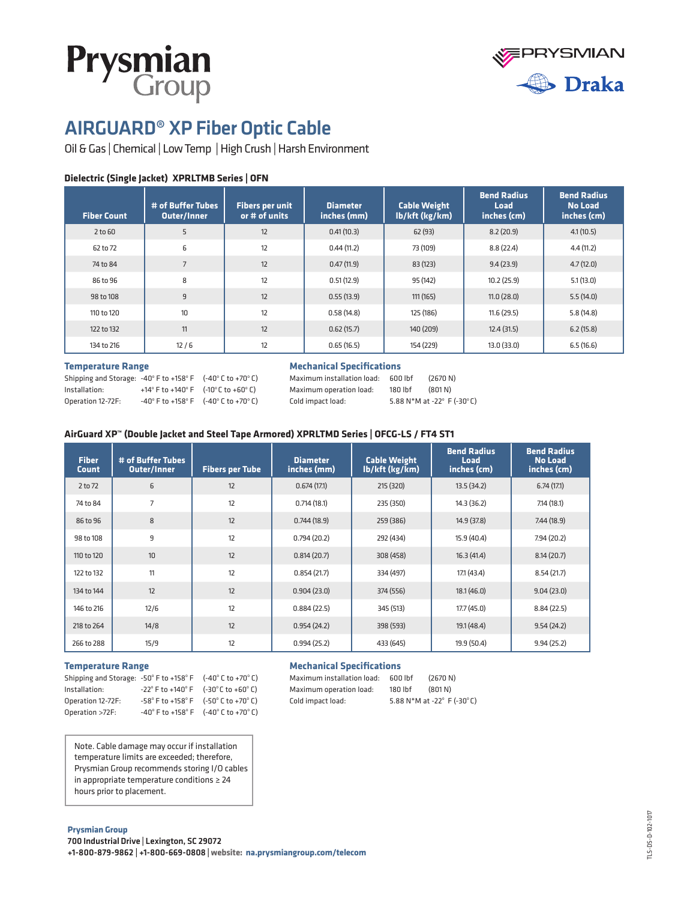



# AIRGUARD® XP Fiber Optic Cable

Oil & Gas | Chemical | Low Temp | High Crush | Harsh Environment

# **Dielectric (Single Jacket) XPRLTMB Series | OFN**

| <b>Fiber Count</b> | # of Buffer Tubes<br><b>Outer/Inner</b> | <b>Fibers per unit</b><br>or # of units | <b>Diameter</b><br>inches (mm) | <b>Cable Weight</b><br>Ib/kft (kg/km) | <b>Bend Radius</b><br><b>Load</b><br>inches (cm) | <b>Bend Radius</b><br><b>No Load</b><br>inches (cm) |
|--------------------|-----------------------------------------|-----------------------------------------|--------------------------------|---------------------------------------|--------------------------------------------------|-----------------------------------------------------|
| 2 to 60            | 5                                       | 12                                      | 0.41(10.3)                     | 62(93)                                | 8.2(20.9)                                        | 4.1(10.5)                                           |
| 62 to 72           | 6                                       | 12                                      | 0.44(11.2)                     | 73 (109)                              | 8.8(22.4)                                        | 4.4(11.2)                                           |
| 74 to 84           | $\overline{7}$                          | 12                                      | 0.47(11.9)                     | 83 (123)                              | 9.4(23.9)                                        | 4.7(12.0)                                           |
| 86 to 96           | 8                                       | 12                                      | 0.51(12.9)                     | 95 (142)                              | 10.2(25.9)                                       | 5.1(13.0)                                           |
| 98 to 108          | 9                                       | 12                                      | 0.55(13.9)                     | 111 (165)                             | 11.0(28.0)                                       | 5.5(14.0)                                           |
| 110 to 120         | 10                                      | 12                                      | 0.58(14.8)                     | 125 (186)                             | 11.6(29.5)                                       | 5.8(14.8)                                           |
| 122 to 132         | 11                                      | 12                                      | 0.62(15.7)                     | 140 (209)                             | 12.4(31.5)                                       | 6.2(15.8)                                           |
| 134 to 216         | 12/6                                    | 12                                      | 0.65(16.5)                     | 154 (229)                             | 13.0(33.0)                                       | 6.5(16.6)                                           |

## **Temperature Range**

| Shipping and Storage: -40° F to +158° F (-40° C to +70° C) |                                                                           |  |
|------------------------------------------------------------|---------------------------------------------------------------------------|--|
| Installation:                                              | +14 $\degree$ F to +140 $\degree$ F (-10 $\degree$ C to +60 $\degree$ C)  |  |
| Operation 12-72F:                                          | $-40^{\circ}$ F to $+158^{\circ}$ F ( $-40^{\circ}$ C to $+70^{\circ}$ C) |  |

## **Mechanical Specifications**

| Maximum installation load: | 600 lbf | (2670 N)                                      |
|----------------------------|---------|-----------------------------------------------|
| Maximum operation load:    | 180 lbf | (801 N)                                       |
| Cold impact load:          |         | 5.88 N*M at -22 $\degree$ F (-30 $\degree$ C) |

# **AirGuard XP™ (Double Jacket and Steel Tape Armored) XPRLTMD Series | OFCG-LS / FT4 ST1**

| <b>Fiber</b><br><b>Count</b> | # of Buffer Tubes<br><b>Outer/Inner</b> | <b>Fibers per Tube</b> | <b>Diameter</b><br>inches (mm) | <b>Cable Weight</b><br>lb/kft (kg/km) | <b>Bend Radius</b><br><b>Load</b><br>inches (cm) | <b>Bend Radius</b><br><b>No Load</b><br>inches (cm) |
|------------------------------|-----------------------------------------|------------------------|--------------------------------|---------------------------------------|--------------------------------------------------|-----------------------------------------------------|
| 2 to 72                      | 6                                       | 12                     | 0.674(17.1)                    | 215 (320)                             | 13.5(34.2)                                       | 6.74(17.1)                                          |
| 74 to 84                     | $\overline{7}$                          | 12                     | 0.714(18.1)                    | 235 (350)                             | 14.3(36.2)                                       | 7.14(18.1)                                          |
| 86 to 96                     | 8                                       | 12                     | 0.744(18.9)                    | 259 (386)                             | 14.9(37.8)                                       | 7.44(18.9)                                          |
| 98 to 108                    | 9                                       | 12                     | 0.794(20.2)                    | 292 (434)                             | 15.9 (40.4)                                      | 7.94(20.2)                                          |
| 110 to 120                   | 10                                      | 12                     | 0.814(20.7)                    | 308 (458)                             | 16.3(41.4)                                       | 8.14(20.7)                                          |
| 122 to 132                   | 11                                      | 12                     | 0.854(21.7)                    | 334 (497)                             | 17.1 (43.4)                                      | 8.54(21.7)                                          |
| 134 to 144                   | 12                                      | 12                     | 0.904(23.0)                    | 374 (556)                             | 18.1(46.0)                                       | 9.04(23.0)                                          |
| 146 to 216                   | 12/6                                    | 12                     | 0.884(22.5)                    | 345 (513)                             | 17.7(45.0)                                       | 8.84(22.5)                                          |
| 218 to 264                   | 14/8                                    | 12                     | 0.954(24.2)                    | 398 (593)                             | 19.1 (48.4)                                      | 9.54(24.2)                                          |
| 266 to 288                   | 15/9                                    | 12                     | 0.994(25.2)                    | 433 (645)                             | 19.9 (50.4)                                      | 9.94(25.2)                                          |

### **Temperature Range**

| Shipping and Storage: $-50^{\circ}$ F to $+158^{\circ}$ F ( $-40^{\circ}$ C to $+70^{\circ}$ C) |                                                                           |  |
|-------------------------------------------------------------------------------------------------|---------------------------------------------------------------------------|--|
| Installation:                                                                                   | $-22^{\circ}$ F to $+140^{\circ}$ F ( $-30^{\circ}$ C to $+60^{\circ}$ C) |  |
| Operation 12-72F:                                                                               | $-58^{\circ}$ F to $+158^{\circ}$ F ( $-50^{\circ}$ C to $+70^{\circ}$ C) |  |
| Operation >72F:                                                                                 | $-40^{\circ}$ F to $+158^{\circ}$ F ( $-40^{\circ}$ C to $+70^{\circ}$ C) |  |

Note. Cable damage may occur if installation temperature limits are exceeded; therefore, Prysmian Group recommends storing I/O cables in appropriate temperature conditions ≥ 24 hours prior to placement.

## **Mechanical Specifications**

| Maximum installation load: | 600 lbf | (2670 N)                   |
|----------------------------|---------|----------------------------|
| Maximum operation load:    | 180 lbf | (801 N)                    |
| Cold impact load:          |         | 5.88 N*M at -22° F (-30°C) |

**Prysmian Group** 700 Industrial Drive | Lexington, SC 29072

+1-800-879-9862 | +1-800-669-0808 | **website: na.prysmiangroup.com/telecom**